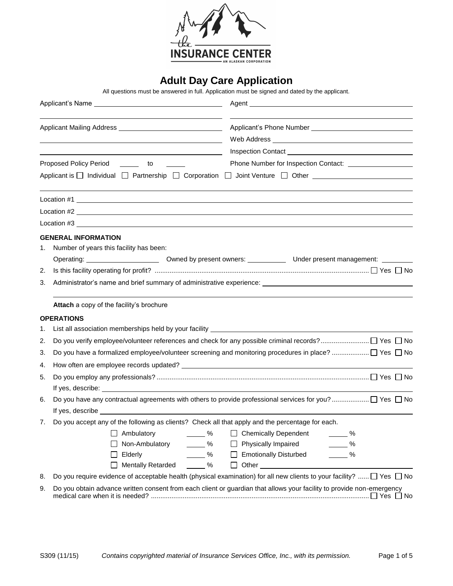

# **Adult Day Care Application**

All questions must be answered in full. Application must be signed and dated by the applicant.

|    | <u> 1989 - Johann Stoff, amerikansk politiker (d. 1989)</u>                                                                                                                                                                   |  |  |  |  |  |
|----|-------------------------------------------------------------------------------------------------------------------------------------------------------------------------------------------------------------------------------|--|--|--|--|--|
|    | <u> 1980 - Johann Barbara, martxa alemaniar amerikan a</u>                                                                                                                                                                    |  |  |  |  |  |
|    | Proposed Policy Period _______ to                                                                                                                                                                                             |  |  |  |  |  |
|    | Applicant is □ Individual □ Partnership □ Corporation □ Joint Venture □ Other                                                                                                                                                 |  |  |  |  |  |
|    | $Location #1$ $\qquad$                                                                                                                                                                                                        |  |  |  |  |  |
|    | Location #2                                                                                                                                                                                                                   |  |  |  |  |  |
|    |                                                                                                                                                                                                                               |  |  |  |  |  |
|    | <b>GENERAL INFORMATION</b>                                                                                                                                                                                                    |  |  |  |  |  |
| 1. | Number of years this facility has been:                                                                                                                                                                                       |  |  |  |  |  |
|    |                                                                                                                                                                                                                               |  |  |  |  |  |
| 2. |                                                                                                                                                                                                                               |  |  |  |  |  |
| 3. | Administrator's name and brief summary of administrative experience: _______________________________                                                                                                                          |  |  |  |  |  |
|    | Attach a copy of the facility's brochure                                                                                                                                                                                      |  |  |  |  |  |
|    | <b>OPERATIONS</b>                                                                                                                                                                                                             |  |  |  |  |  |
| 1. |                                                                                                                                                                                                                               |  |  |  |  |  |
| 2. |                                                                                                                                                                                                                               |  |  |  |  |  |
| 3. |                                                                                                                                                                                                                               |  |  |  |  |  |
| 4. |                                                                                                                                                                                                                               |  |  |  |  |  |
| 5. |                                                                                                                                                                                                                               |  |  |  |  |  |
|    |                                                                                                                                                                                                                               |  |  |  |  |  |
| 6. |                                                                                                                                                                                                                               |  |  |  |  |  |
|    | If yes, describe the contract of the contract of the contract of the contract of the contract of the contract of the contract of the contract of the contract of the contract of the contract of the contract of the contract |  |  |  |  |  |
| 7. | Do you accept any of the following as clients? Check all that apply and the percentage for each.                                                                                                                              |  |  |  |  |  |
|    | Ambulatory<br>$\%$<br><b>Chemically Dependent</b><br>%                                                                                                                                                                        |  |  |  |  |  |
|    | $\frac{9}{6}$<br>Non-Ambulatory<br>Physically Impaired<br>$\sim$ %                                                                                                                                                            |  |  |  |  |  |
|    | $\frac{9}{6}$<br>Elderly<br><b>Emotionally Disturbed</b><br>$\frac{9}{6}$                                                                                                                                                     |  |  |  |  |  |
|    | $\sim$ %<br><b>Mentally Retarded</b><br>$\Box$                                                                                                                                                                                |  |  |  |  |  |
| 8. | Do you require evidence of acceptable health (physical examination) for all new clients to your facility?  □ Yes □ No                                                                                                         |  |  |  |  |  |
| 9. | Do you obtain advance written consent from each client or guardian that allows your facility to provide non-emergency                                                                                                         |  |  |  |  |  |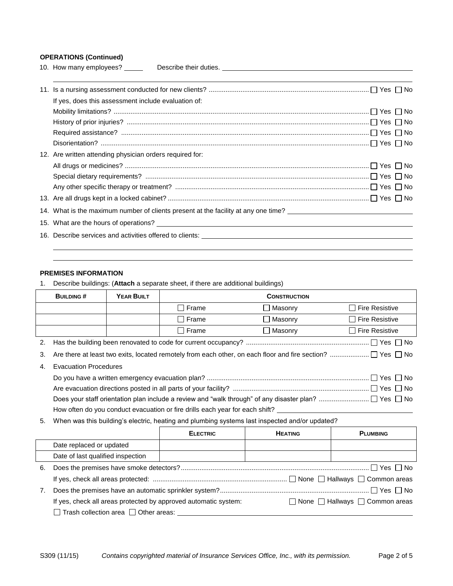## **OPERATIONS (Continued)**

| 10. How many employees? __________ Describe their duties. ______________________                                 |
|------------------------------------------------------------------------------------------------------------------|
|                                                                                                                  |
| If yes, does this assessment include evaluation of:                                                              |
|                                                                                                                  |
|                                                                                                                  |
|                                                                                                                  |
|                                                                                                                  |
| 12. Are written attending physician orders required for:                                                         |
|                                                                                                                  |
|                                                                                                                  |
|                                                                                                                  |
|                                                                                                                  |
| 14. What is the maximum number of clients present at the facility at any one time? _____________________________ |
|                                                                                                                  |
|                                                                                                                  |
|                                                                                                                  |

## **PREMISES INFORMATION**

1. Describe buildings: (**Attach** a separate sheet, if there are additional buildings)

|    | <b>BUILDING#</b>                                                             | <b>YEAR BUILT</b>                                                                                                          | <b>CONSTRUCTION</b> |                  |                       |  |  |
|----|------------------------------------------------------------------------------|----------------------------------------------------------------------------------------------------------------------------|---------------------|------------------|-----------------------|--|--|
|    |                                                                              |                                                                                                                            | $\Box$ Frame        | <b>■ Masonry</b> | $\Box$ Fire Resistive |  |  |
|    |                                                                              |                                                                                                                            | $\Box$ Frame        | <b>Nasonry</b> I | $\Box$ Fire Resistive |  |  |
|    |                                                                              |                                                                                                                            | $\Box$ Frame        | $\Box$ Masonry   | $\Box$ Fire Resistive |  |  |
|    |                                                                              |                                                                                                                            |                     |                  |                       |  |  |
| 3. |                                                                              |                                                                                                                            |                     |                  |                       |  |  |
| 4. | <b>Evacuation Procedures</b>                                                 |                                                                                                                            |                     |                  |                       |  |  |
|    |                                                                              |                                                                                                                            |                     |                  |                       |  |  |
|    |                                                                              |                                                                                                                            |                     |                  |                       |  |  |
|    |                                                                              |                                                                                                                            |                     |                  |                       |  |  |
|    | How often do you conduct evacuation or fire drills each year for each shift? |                                                                                                                            |                     |                  |                       |  |  |
|    |                                                                              | $10.01$ and the distribution of the state. In additional planet because the continued because the distribution of $\Omega$ |                     |                  |                       |  |  |

5. When was this building's electric, heating and plumbing systems last inspected and/or updated?

|    |                                                                 | <b>ELECTRIC</b> | <b>HEATING</b> | <b>PLUMBING</b>                                 |
|----|-----------------------------------------------------------------|-----------------|----------------|-------------------------------------------------|
|    | Date replaced or updated                                        |                 |                |                                                 |
|    | Date of last qualified inspection                               |                 |                |                                                 |
| 6. |                                                                 |                 |                |                                                 |
|    |                                                                 |                 |                |                                                 |
| 7. |                                                                 |                 |                |                                                 |
|    | If yes, check all areas protected by approved automatic system: |                 |                | $\Box$ None $\Box$ Hallways $\Box$ Common areas |
|    | $\Box$ Trash collection area $\Box$ Other areas:                |                 |                |                                                 |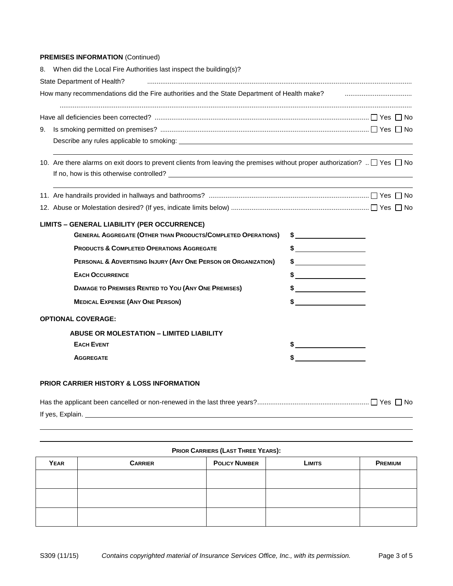## **PREMISES INFORMATION (Continued)**

|    | 8. When did the Local Fire Authorities last inspect the building(s)?                                                               |                                                                                                                                                                                                                                                                                                                                                                                                                                 |  |  |  |  |  |  |
|----|------------------------------------------------------------------------------------------------------------------------------------|---------------------------------------------------------------------------------------------------------------------------------------------------------------------------------------------------------------------------------------------------------------------------------------------------------------------------------------------------------------------------------------------------------------------------------|--|--|--|--|--|--|
|    | State Department of Health?                                                                                                        |                                                                                                                                                                                                                                                                                                                                                                                                                                 |  |  |  |  |  |  |
|    | How many recommendations did the Fire authorities and the State Department of Health make? <b>Face and the State Department</b>    |                                                                                                                                                                                                                                                                                                                                                                                                                                 |  |  |  |  |  |  |
|    |                                                                                                                                    |                                                                                                                                                                                                                                                                                                                                                                                                                                 |  |  |  |  |  |  |
| 9. |                                                                                                                                    |                                                                                                                                                                                                                                                                                                                                                                                                                                 |  |  |  |  |  |  |
|    |                                                                                                                                    |                                                                                                                                                                                                                                                                                                                                                                                                                                 |  |  |  |  |  |  |
|    | 10. Are there alarms on exit doors to prevent clients from leaving the premises without proper authorization? $\Box$ Yes $\Box$ No |                                                                                                                                                                                                                                                                                                                                                                                                                                 |  |  |  |  |  |  |
|    |                                                                                                                                    |                                                                                                                                                                                                                                                                                                                                                                                                                                 |  |  |  |  |  |  |
|    |                                                                                                                                    |                                                                                                                                                                                                                                                                                                                                                                                                                                 |  |  |  |  |  |  |
|    |                                                                                                                                    |                                                                                                                                                                                                                                                                                                                                                                                                                                 |  |  |  |  |  |  |
|    | <b>LIMITS - GENERAL LIABILITY (PER OCCURRENCE)</b>                                                                                 |                                                                                                                                                                                                                                                                                                                                                                                                                                 |  |  |  |  |  |  |
|    | <b>GENERAL AGGREGATE (OTHER THAN PRODUCTS/COMPLETED OPERATIONS)</b>                                                                |                                                                                                                                                                                                                                                                                                                                                                                                                                 |  |  |  |  |  |  |
|    | <b>PRODUCTS &amp; COMPLETED OPERATIONS AGGREGATE</b>                                                                               | $\frac{1}{2}$                                                                                                                                                                                                                                                                                                                                                                                                                   |  |  |  |  |  |  |
|    | PERSONAL & ADVERTISING INJURY (ANY ONE PERSON OR ORGANIZATION)                                                                     | $\frac{1}{2}$                                                                                                                                                                                                                                                                                                                                                                                                                   |  |  |  |  |  |  |
|    | <b>EACH OCCURRENCE</b>                                                                                                             |                                                                                                                                                                                                                                                                                                                                                                                                                                 |  |  |  |  |  |  |
|    | DAMAGE TO PREMISES RENTED TO YOU (ANY ONE PREMISES)                                                                                | $\frac{1}{2}$                                                                                                                                                                                                                                                                                                                                                                                                                   |  |  |  |  |  |  |
|    | <b>MEDICAL EXPENSE (ANY ONE PERSON)</b>                                                                                            | $\frac{1}{\sqrt{1-\frac{1}{2}}}\frac{1}{\sqrt{1-\frac{1}{2}}}\frac{1}{\sqrt{1-\frac{1}{2}}}\frac{1}{\sqrt{1-\frac{1}{2}}}\frac{1}{\sqrt{1-\frac{1}{2}}}\frac{1}{\sqrt{1-\frac{1}{2}}}\frac{1}{\sqrt{1-\frac{1}{2}}}\frac{1}{\sqrt{1-\frac{1}{2}}}\frac{1}{\sqrt{1-\frac{1}{2}}}\frac{1}{\sqrt{1-\frac{1}{2}}}\frac{1}{\sqrt{1-\frac{1}{2}}}\frac{1}{\sqrt{1-\frac{1}{2}}}\frac{1}{\sqrt{1-\frac{1}{2}}}\frac{1}{\sqrt{1-\frac{$ |  |  |  |  |  |  |
|    | <b>OPTIONAL COVERAGE:</b>                                                                                                          |                                                                                                                                                                                                                                                                                                                                                                                                                                 |  |  |  |  |  |  |
|    | ABUSE OR MOLESTATION - LIMITED LIABILITY                                                                                           |                                                                                                                                                                                                                                                                                                                                                                                                                                 |  |  |  |  |  |  |
|    | <b>EACH EVENT</b>                                                                                                                  |                                                                                                                                                                                                                                                                                                                                                                                                                                 |  |  |  |  |  |  |
|    | <b>AGGREGATE</b>                                                                                                                   |                                                                                                                                                                                                                                                                                                                                                                                                                                 |  |  |  |  |  |  |
|    |                                                                                                                                    |                                                                                                                                                                                                                                                                                                                                                                                                                                 |  |  |  |  |  |  |
|    | <b>PRIOR CARRIER HISTORY &amp; LOSS INFORMATION</b>                                                                                |                                                                                                                                                                                                                                                                                                                                                                                                                                 |  |  |  |  |  |  |

| If yes, Explain. |  |
|------------------|--|

| <b>PRIOR CARRIERS (LAST THREE YEARS):</b> |                |                      |               |                |  |  |
|-------------------------------------------|----------------|----------------------|---------------|----------------|--|--|
| <b>YEAR</b>                               | <b>CARRIER</b> | <b>POLICY NUMBER</b> | <b>LIMITS</b> | <b>PREMIUM</b> |  |  |
|                                           |                |                      |               |                |  |  |
|                                           |                |                      |               |                |  |  |
|                                           |                |                      |               |                |  |  |
|                                           |                |                      |               |                |  |  |
|                                           |                |                      |               |                |  |  |
|                                           |                |                      |               |                |  |  |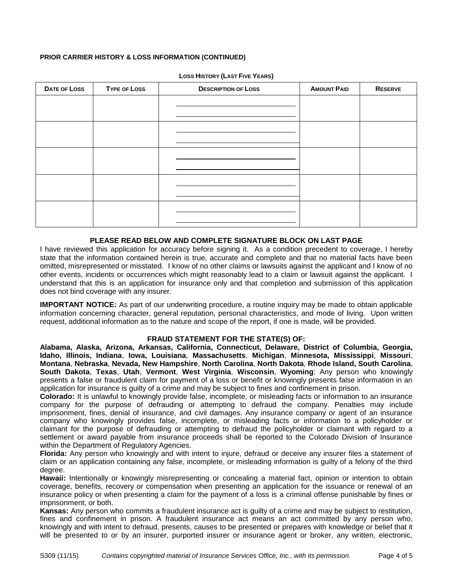## **PRIOR CARRIER HISTORY & LOSS INFORMATION (CONTINUED)**

| DATE OF LOSS | <b>TYPE OF LOSS</b> | <b>DESCRIPTION OF LOSS</b> | <b>AMOUNT PAID</b> | <b>RESERVE</b> |
|--------------|---------------------|----------------------------|--------------------|----------------|
|              |                     |                            |                    |                |
|              |                     |                            |                    |                |
|              |                     |                            |                    |                |
|              |                     |                            |                    |                |
|              |                     |                            |                    |                |
|              |                     |                            |                    |                |
|              |                     |                            |                    |                |
|              |                     |                            |                    |                |
|              |                     |                            |                    |                |
|              |                     |                            |                    |                |
|              |                     |                            |                    |                |

**LOSS HISTORY (LAST FIVE YEARS)**

### **PLEASE READ BELOW AND COMPLETE SIGNATURE BLOCK ON LAST PAGE**

I have reviewed this application for accuracy before signing it. As a condition precedent to coverage, I hereby state that the information contained herein is true, accurate and complete and that no material facts have been omitted, misrepresented or misstated. I know of no other claims or lawsuits against the applicant and I know of no other events, incidents or occurrences which might reasonably lead to a claim or lawsuit against the applicant. I understand that this is an application for insurance only and that completion and submission of this application does not bind coverage with any insurer.

**IMPORTANT NOTICE:** As part of our underwriting procedure, a routine inquiry may be made to obtain applicable information concerning character, general reputation, personal characteristics, and mode of living. Upon written request, additional information as to the nature and scope of the report, if one is made, will be provided.

## **FRAUD STATEMENT FOR THE STATE(S) OF:**

**Alabama, Alaska, Arizona, Arkansas, California, Connecticut, Delaware, District of Columbia, Georgia, Idaho, Illinois, Indiana**, **Iowa, Louisiana**, **Massachusetts**, **Michigan**, **Minnesota, Mississippi**, **Missouri**, **Montana**, **Nebraska**, **Nevada, New Hampshire**, **North Carolina**, **North Dakota**, **Rhode Island, South Carolina**, **South Dakota**, **Texas**, **Utah**, **Vermont**, **West Virginia**, **Wisconsin**, **Wyoming**: Any person who knowingly presents a false or fraudulent claim for payment of a loss or benefit or knowingly presents false information in an application for insurance is guilty of a crime and may be subject to fines and confinement in prison.

**Colorado:** It is unlawful to knowingly provide false, incomplete, or misleading facts or information to an insurance company for the purpose of defrauding or attempting to defraud the company. Penalties may include imprisonment, fines, denial of insurance, and civil damages. Any insurance company or agent of an insurance company who knowingly provides false, incomplete, or misleading facts or information to a policyholder or claimant for the purpose of defrauding or attempting to defraud the policyholder or claimant with regard to a settlement or award payable from insurance proceeds shall be reported to the Colorado Division of Insurance within the Department of Regulatory Agencies.

**Florida:** Any person who knowingly and with intent to injure, defraud or deceive any insurer files a statement of claim or an application containing any false, incomplete, or misleading information is guilty of a felony of the third degree.

**Hawaii:** Intentionally or knowingly misrepresenting or concealing a material fact, opinion or intention to obtain coverage, benefits, recovery or compensation when presenting an application for the issuance or renewal of an insurance policy or when presenting a claim for the payment of a loss is a criminal offense punishable by fines or imprisonment, or both.

**Kansas:** Any person who commits a fraudulent insurance act is guilty of a crime and may be subject to restitution, fines and confinement in prison. A fraudulent insurance act means an act committed by any person who, knowingly and with intent to defraud, presents, causes to be presented or prepares with knowledge or belief that it will be presented to or by an insurer, purported insurer or insurance agent or broker, any written, electronic,